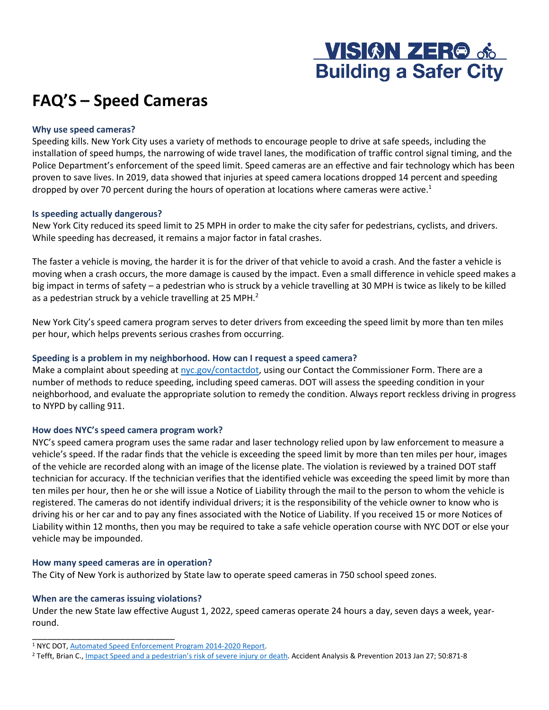# **VISIAN ZERO OF Building a Safer City**

## **FAQ'S – Speed Cameras**

## **Why use speed cameras?**

Speeding kills. New York City uses a variety of methods to encourage people to drive at safe speeds, including the installation of speed humps, the narrowing of wide travel lanes, the modification of traffic control signal timing, and the Police Department's enforcement of the speed limit. Speed cameras are an effective and fair technology which has been proven to save lives. In 2019, data showed that injuries at speed camera locations dropped 14 percent and speeding dropped by over 70 percent during the hours of operation at locations where cameras were active.<sup>1</sup>

## **Is speeding actually dangerous?**

New York City reduced its speed limit to 25 MPH in order to make the city safer for pedestrians, cyclists, and drivers. While speeding has decreased, it remains a major factor in fatal crashes.

The faster a vehicle is moving, the harder it is for the driver of that vehicle to avoid a crash. And the faster a vehicle is moving when a crash occurs, the more damage is caused by the impact. Even a small difference in vehicle speed makes a big impact in terms of safety – a pedestrian who is struck by a vehicle travelling at 30 MPH is twice as likely to be killed as a pedestrian struck by a vehicle travelling at 25 MPH. $^2$ 

New York City's speed camera program serves to deter drivers from exceeding the speed limit by more than ten miles per hour, which helps prevents serious crashes from occurring.

## **Speeding is a problem in my neighborhood. How can I request a speed camera?**

Make a complaint about speeding a[t nyc.gov/contactdot,](https://www1.nyc.gov/html/dot/html/contact/contact-form.shtml) using our Contact the Commissioner Form. There are a number of methods to reduce speeding, including speed cameras. DOT will assess the speeding condition in your neighborhood, and evaluate the appropriate solution to remedy the condition. Always report reckless driving in progress to NYPD by calling 911.

## **How does NYC's speed camera program work?**

NYC's speed camera program uses the same radar and laser technology relied upon by law enforcement to measure a vehicle's speed. If the radar finds that the vehicle is exceeding the speed limit by more than ten miles per hour, images of the vehicle are recorded along with an image of the license plate. The violation is reviewed by a trained DOT staff technician for accuracy. If the technician verifies that the identified vehicle was exceeding the speed limit by more than ten miles per hour, then he or she will issue a Notice of Liability through the mail to the person to whom the vehicle is registered. The cameras do not identify individual drivers; it is the responsibility of the vehicle owner to know who is driving his or her car and to pay any fines associated with the Notice of Liability. If you received 15 or more Notices of Liability within 12 months, then you may be required to take a safe vehicle operation course with NYC DOT or else your vehicle may be impounded.

## **How many speed cameras are in operation?**

The City of New York is authorized by State law to operate speed cameras in 750 school speed zones.

## **When are the cameras issuing violations?**

\_\_\_\_\_\_\_\_\_\_\_\_\_\_\_\_\_\_\_\_\_\_\_\_\_\_\_\_\_

Under the new State law effective August 1, 2022, speed cameras operate 24 hours a day, seven days a week, yearround.

<sup>&</sup>lt;sup>1</sup> NYC DOT, <u>Automated Speed Enforcement Program 2014-2020 Report</u>.<br><sup>2</sup> Tefft, Brian C., <u>Impact Speed and a pedestrian's risk of severe injury or death</u>. Accident Analysis & Prevention 2013 Jan 27; 50:871-8